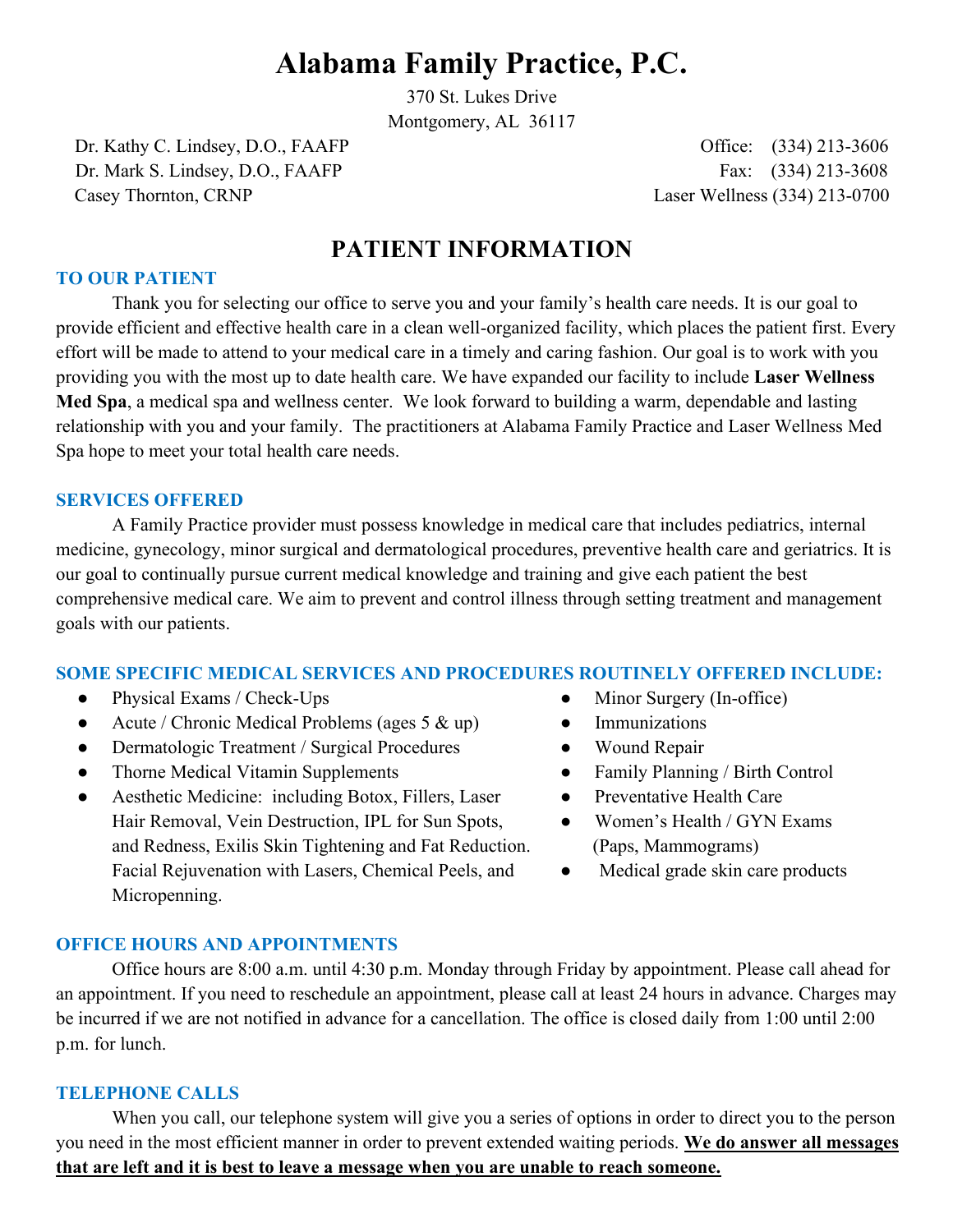# **Alabama Family Practice, P.C.**

370 St. Lukes Drive

Montgomery, AL 36117

Dr. Kathy C. Lindsey, D.O., FAAFP Office: (334) 213-3606 Dr. Mark S. Lindsey, D.O., FAAFP Fax: (334) 213-3608 Casey Thornton, CRNP Laser Wellness (334) 213-0700

# **PATIENT INFORMATION**

#### **TO OUR PATIENT**

 Thank you for selecting our office to serve you and your family's health care needs. It is our goal to provide efficient and effective health care in a clean well-organized facility, which places the patient first. Every effort will be made to attend to your medical care in a timely and caring fashion. Our goal is to work with you providing you with the most up to date health care. We have expanded our facility to include **Laser Wellness Med Spa**, a medical spa and wellness center. We look forward to building a warm, dependable and lasting relationship with you and your family. The practitioners at Alabama Family Practice and Laser Wellness Med Spa hope to meet your total health care needs.

#### **SERVICES OFFERED**

 A Family Practice provider must possess knowledge in medical care that includes pediatrics, internal medicine, gynecology, minor surgical and dermatological procedures, preventive health care and geriatrics. It is our goal to continually pursue current medical knowledge and training and give each patient the best comprehensive medical care. We aim to prevent and control illness through setting treatment and management goals with our patients.

#### **SOME SPECIFIC MEDICAL SERVICES AND PROCEDURES ROUTINELY OFFERED INCLUDE:**

- Physical Exams / Check-Ups **•** Minor Surgery (In-office)
- Acute / Chronic Medical Problems (ages 5  $\&$  up) Immunizations
- Dermatologic Treatment / Surgical Procedures Wound Repair
- Thorne Medical Vitamin Supplements Family Planning / Birth Control
- Aesthetic Medicine: including Botox, Fillers, Laser Preventative Health Care Hair Removal, Vein Destruction, IPL for Sun Spots, •• Women's Health / GYN Exams and Redness, Exilis Skin Tightening and Fat Reduction. (Paps, Mammograms) Facial Rejuvenation with Lasers, Chemical Peels, and  $\bullet$  Medical grade skin care products Micropenning.
- 
- 
- 
- -
	-
	-

#### **OFFICE HOURS AND APPOINTMENTS**

 Office hours are 8:00 a.m. until 4:30 p.m. Monday through Friday by appointment. Please call ahead for an appointment. If you need to reschedule an appointment, please call at least 24 hours in advance. Charges may be incurred if we are not notified in advance for a cancellation. The office is closed daily from 1:00 until 2:00 p.m. for lunch.

#### **TELEPHONE CALLS**

 When you call, our telephone system will give you a series of options in order to direct you to the person you need in the most efficient manner in order to prevent extended waiting periods. **We do answer all messages that are left and it is best to leave a message when you are unable to reach someone.**